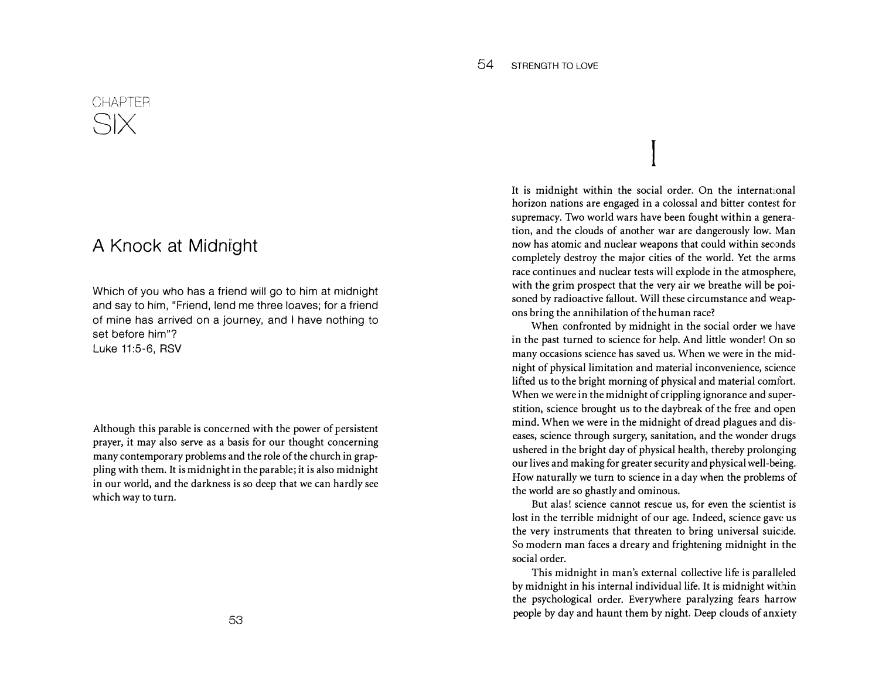### **A Knock at Midnight**

Which of you who has a friend will go to him at midnight and say to him, "Friend, lend me three loaves; for a friend of mine has arrived on a journey, and I have nothing to set before him"? Luke 11:5-6, RSV

Although this parable is concerned with the power of persistent prayer, it may also serve as a basis for our thought concerning many contemporary problems and the role of the church in grappling with them. It is midnight in the parable; it is also midnight in our world, and the darkness is so deep that we can hardly see which way to turn.

It is midnight within the social order. On the international horizon nations are engaged in a colossal and bitter contest for supremacy. Two world wars have been fought within a generation, and the clouds of another war are dangerously low. Man now has atomic and nuclear weapons that could within seconds completely destroy the major cities of the world. Yet the arms race continues and nuclear tests will explode in the atmosphere, with the grim prospect that the very air we breathe will be poisoned by radioactive fallout. Will these circumstance and weapons bring the annihilation of the human race?

I

When confronted by midnight in the social order we have in the past turned to science for help. And little wonder! On so many occasions science has saved us. When we were in the midnight of physical limitation and material inconvenience, science lifted us to the bright morning of physical and material comfort. When we were in the midnight of crippling ignorance and superstition, science brought us to the daybreak of the free and open mind. When we were in the midnight of dread plagues and diseases, science through surgery, sanitation, and the wonder drugs ushered in the bright day of physical health, thereby prolonging our lives and making for greater security and physical well-being. How naturally we turn to science in a day when the problems of the world are so ghastly and ominous.

But alas! science cannot rescue us, for even the scientist is lost in the terrible midnight of our age. Indeed, science gave us the very instruments that threaten to bring universal suicide. So modern man faces a dreary and frightening midnight in the social order.

This midnight in man's external collective life is paralleled by midnight in his internal individual life. It is midnight within the psychological order. Everywhere paralyzing fears harrow people by day and haunt them by night. Deep clouds of anxiety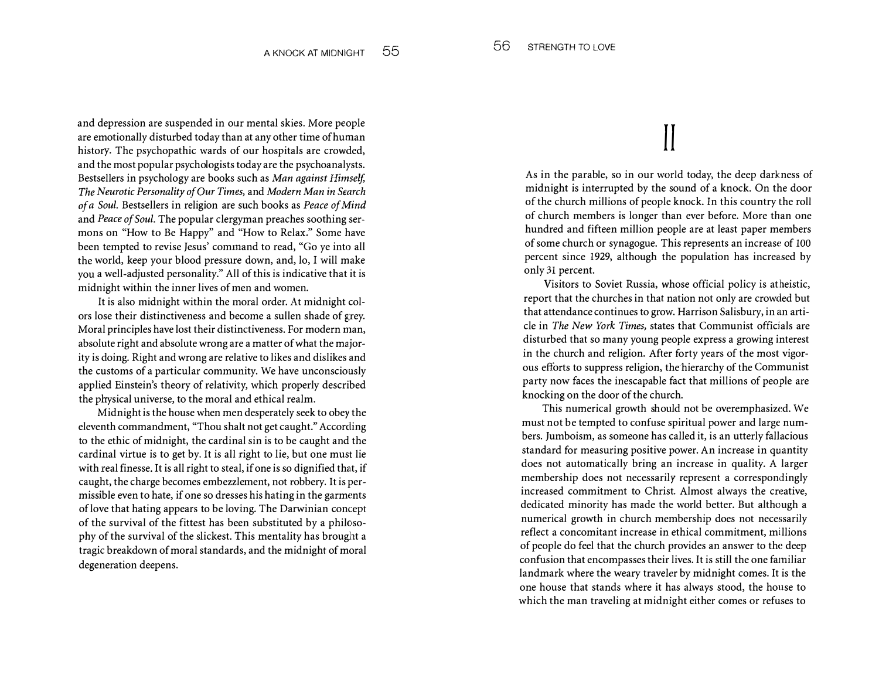and depression are suspended in our mental skies. More people are emotionally disturbed today than at any other time of human history. The psychopathic wards of our hospitals are crowded, and the most popular psychologists today are the psychoanalysts. Bestsellers in psychology are books such as *Man against Himself, The Neurotic Personality of Our Times,* and *Modern Man in Search of a Soul.* Bestsellers in religion are such books as *Peace of Mind*  and *Peace of Soul.* The popular clergyman preaches soothing sermons on "How to Be Happy" and "How to Relax." Some have been tempted to revise Jesus' command to read, "Go ye into all the world, keep your blood pressure down, and, lo, I will make you a well-adjusted personality." All of this is indicative that it is midnight within the inner lives of men and women.

It is also midnight within the moral order. At midnight colors lose their distinctiveness and become a sullen shade of grey. Moral principles have lost their distinctiveness. For modern man, absolute right and absolute wrong are a matter of what the majority is doing. Right and wrong are relative to likes and dislikes and the customs of a particular community. We have unconsciously applied Einstein's theory of relativity, which properly described the physical universe, to the moral and ethical realm.

Midnight is the house when men desperately seek to obey the eleventh commandment, "Thou shalt not get caught." According to the ethic of midnight, the cardinal sin is to be caught and the cardinal virtue is to get by. It is all right to lie, but one must lie with real finesse. It is all right to steal, if one is so dignified that, if caught, the charge becomes embezzlement, not robbery. It is permissible even to hate, if one so dresses his hating in the garments oflove that hating appears to be loving. The Darwinian concep<sup>t</sup> of the survival of the fittest has been substituted by a philosophy of the survival of the slickest. This mentality has brought a tragic breakdown of moral standards, and the midnight of moral degeneration deepens.

### $\prod$

As in the parable, so in our world today, the deep darkness of midnight is interrupted by the sound of a knock. On the door of the church millions of people knock. In this country the roll of church members is longer than ever before. More than one hundred and fifteen million people are at least paper members of some church or synagogue. This represents an increase of 100 percent since 1929, although the population has increased by only 31 percent.

Visitors to Soviet Russia, whose official policy is atheistic, report that the churches in that nation not only are crowded but that attendance continues to grow. Harrison Salisbury, in an article in *The New York Times,* states that Communist officials are disturbed that so many young people express a growing interest in the church and religion. After forty years of the most vigorous efforts to suppress religion, the hierarchy of the Communist party now faces the inescapable fact that millions of people are knocking on the door of the church.

This numerical growth should not be overemphasized. We must not be tempted to confuse spiritual power and large numbers. Jumboism, as someone has called it, is an utterly fallacious standard for measuring positive power. An increase in quantity does not automatically bring an increase in quality. A larger membership does not necessarily represent a correspondingly increased commitment to Christ. Almost always the creative, dedicated minority has made the world better. But although a numerical growth in church membership does not necessarily reflect a concomitant increase in ethical commitment, millions of people do feel that the church provides an answer to the deep confusion that encompasses their lives. It is still the one familiar landmark where the weary traveler by midnight comes. It is the one house that stands where it has always stood, the house to which the man traveling at midnight either comes or refuses to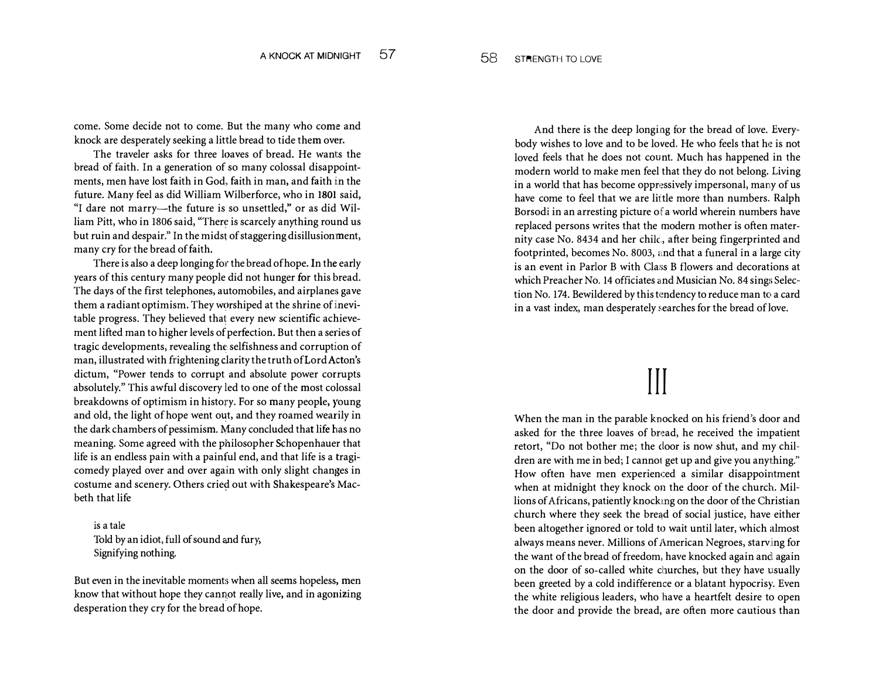come. Some decide not to come. But the many who come and knock are desperately seeking a little bread to tide them over.

The traveler asks for three loaves of bread. He wants the bread of faith. In a generation of so many colossal disappointments, men have lost faith in God, faith in man, and faith in the future. Many feel as did William Wilberforce, who in **1801** said, "I dare not marry-the future is so unsettled," or as did William Pitt, who in 1806 said, "There is scarcely anything round us but ruin and despair." In the midst of staggering disillusionment, many cry for the bread of faith.

There is also a deep longing for the bread of hope. In the early years of this century many people did not hunger for this bread. The days of the first telephones, automobiles, and airplanes gave them a radiant optimism. They worshiped at the shrine of inevitable progress. They believed that every new scientific achievement lifted man to higher levels of perfection. But then a series of tragic developments, revealing the selfishness and corruption of man, illustrated with frightening clarity the truth of Lord Acton's dictum, "Power tends to corrupt and absolute power corrupts absolutely." This awful discovery led to one of the most colossal breakdowns of optimism in history. For so many people, young and old, the light of hope went out, and they roamed wearily in the dark chambers of pessimism. Many concluded that life has no meaning. Some agreed with the philosopher Schopenhauer that life is an endless pain with a painful end, and that life is a tragicomedy played over and over again with only slight changes in costume and scenery. Others cried out with Shakespeare's Macbeth that life

is a tale Told by an idiot, full of sound and fury, Signifying nothing.

But even in the inevitable moments when all seems hopeless, men know that without hope they cannot really live, and in agonizing desperation they cry for the bread of hope.

And there is the deep longing for the bread of love. Everybody wishes to love and to be loved. He who feels that he is not loved feels that he does not count. Much has happened in the modern world to make men feel that they do not belong. Living in a world that has become oppressively impersonal, many of us have come to feel that we are little more than numbers. Ralph Borsodi in an arresting picture of a world wherein numbers have replaced persons writes that the modern mother is often maternity case No. 8434 and her chik, after being fingerprinted and footprinted, becomes No. 8003, and that a funeral in a large city is an event in Parlor B with Class B flowers and decorations at which Preacher No. 14 officiates and Musician No. 84 sings Selection No. 174. Bewildered by this tendency to reduce man to a card in a vast index, man desperately searches for the bread of love.

# III

When the man in the parable knocked on his friend's door and asked for the three loaves of bread, he received the impatient retort, "Do not bother me; the door is now shut, and my children are with me in bed; I cannot get up and give you anything." How often have men experienced a similar disappointment when at midnight they knock on the door of the church. Millions of Africans, patiently knocking on the door of the Christian church where they seek the bread of social justice, have either been altogether ignored or told to wait until later, which almost always means never. Millions of American Negroes, starving for the want of the bread of freedom, have knocked again and again on the door of so-called white churches, but they have usually been greeted by a cold indifference or a blatant hypocrisy. Even the white religious leaders, who have a heartfelt desire to open the door and provide the bread, are often more cautious than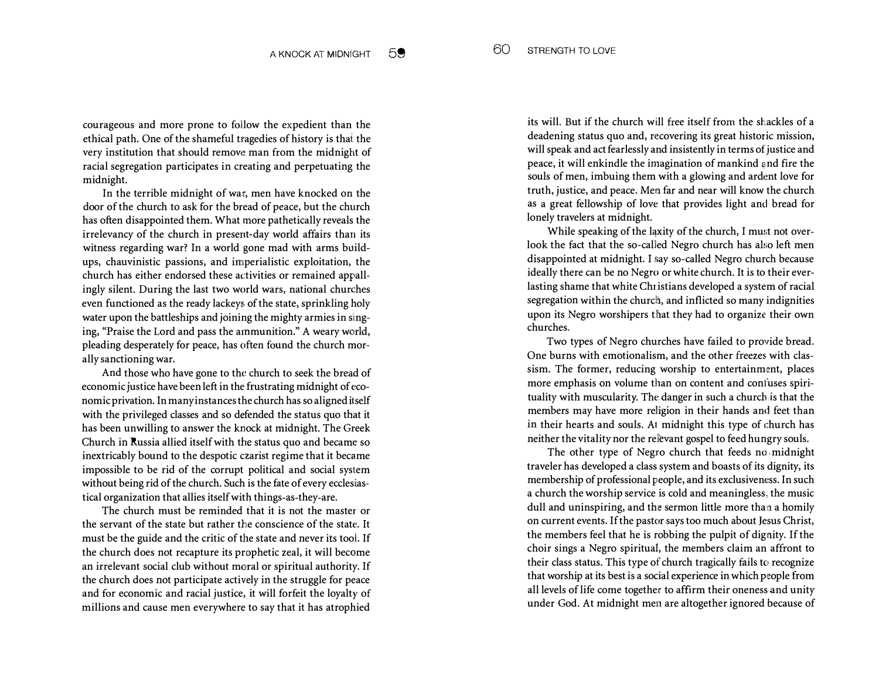courageous and more prone to follow the expedient than the ethical path. One of the shameful tragedies of history is that the very institution that should remove man from the midnight of racial segregation participates in creating and perpetuating the midnight.

In the terrible midnight of war, men have knocked on the door of the church to ask for the bread of peace, but the church has often disappointed them. What more pathetically reveals the irrelevancy of the church in present-day world affairs than its witness regarding war? In a world gone mad with arms buildups, chauvinistic passions, and imperialistic exploitation, the church has either endorsed these activities or remained appallingly silent. During the last two world wars, national churches even functioned as the ready lackeys of the state, sprinkling holy water upon the battleships and joining the mighty armies in singing, "Praise the Lord and pass the ammunition." A weary world, pleading desperately for peace, has often found the church morally sanctioning war.

And those who have gone to the church to seek the bread of economic justice have been left in the frustrating midnight of economic privation. In many instances the church has so aligned itself with the privileged classes and so defended the status quo that it has been unwilling to answer the knock at midnight. The Greek Church in Russia allied itself with the status quo and became so inextricably bound to the despotic czarist regime that it became impossible to be rid of the corrupt political and social system without being rid of the church. Such is the fate of every ecclesiastical organization that allies itself with things-as-they-are.

The church must be reminded that it is not the master or the servant of the state but rather the conscience of the state. It must be the guide and the critic of the state and never its tool. If the church does not recapture its prophetic zeal, it will become an irrelevant social club without moral or spiritual authority. If the church does not participate actively in the struggle for peace and for economic and racial justice, it will forfeit the loyalty of millions and cause men everywhere to say that it has atrophied

its will. But if the church will free itself from the shackles of a deadening status quo and, recovering its great historic mission, will speak and act fearlessly and insistently in terms of justice and peace, it will enkindle the imagination of mankind and fire the souls of men, imbuing them with a glowing and ardent love for truth, justice, and peace. Men far and near will know the church as a great fellowship of love that provides light and bread for lonely travelers at midnight.

While speaking of the laxity of the church, I must not overlook the fact that the so-called Negro church has also left men disappointed at midnight. I say so-called Negro church because ideally there can be no Negro or white church. It is to their everlasting shame that white Christians developed a system of racial segregation within the church, and inflicted so many indignities upon its Negro worshipers that they had to organize their own churches.

Two types of Negro churches have failed to provide bread. One burns with emotionalism, and the other freezes with classism. The former, reducing worship to entertainment, places more emphasis on volume than on content and confuses spirituality with muscularity. The danger in such a church is that the members may have more religion in their hands and feet than in their hearts and souls. At midnight this type of church has neither the vitality nor the relevant gospel to feed hungry souls.

The other type of Negro church that feeds no midnight traveler has developed a class system and boasts of its dignity, its membership of professional people, and its exclusiveness. In such a church the worship service is cold and meaningless, the music dull and uninspiring, and the sermon little more than a homily on current events. If the pastor says too much about Jesus Christ, the members feel that he is robbing the pulpit of dignity. If the choir sings a Negro spiritual, the members claim an affront to their class status. This type of church tragically fails to recognize that worship at its best is a social experience in which people from all levels of life come together to affirm their oneness and unity under God. At midnight men are altogether ignored because of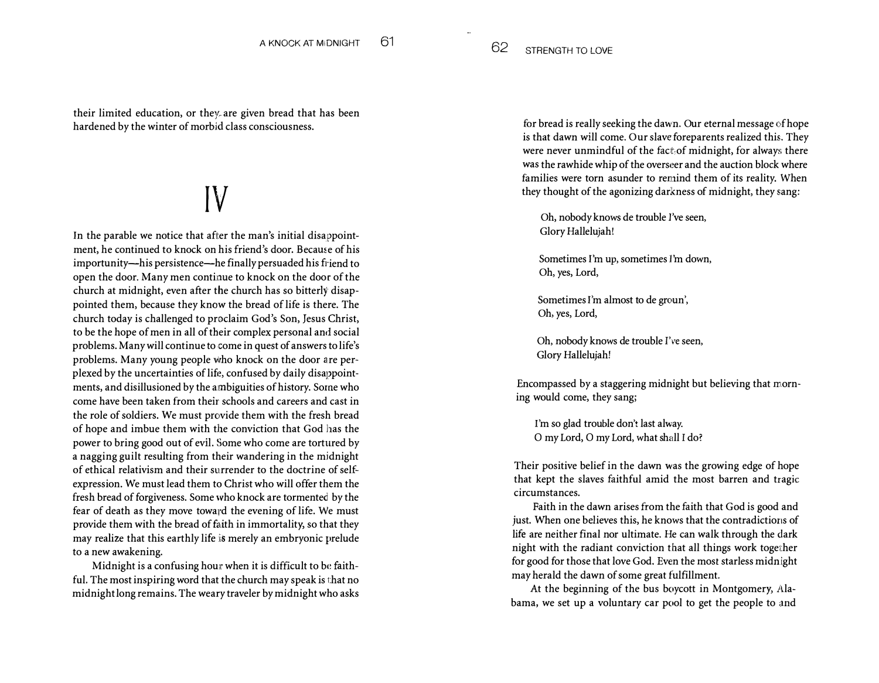### 61 62 STRENGTH TO LOVE

their limited education, or they are given bread that has been hardened by the winter of morbid class consciousness.

## $\mathsf{IV}$

In the parable we notice that after the man's initial disappointment, he continued to knock on his friend's door. Became of his importunity—his persistence—he finally persuaded his friend to open the door. Many men continue to knock on the door of the church at midnight, even after the church has so bitterly disappointed them, because they know the bread of life is there. The church today is challenged to proclaim God's Son, Jesus Christ, to be the hope of men in all of their complex personal and social problems. Many will continue to come in quest of answers to life's problems. Many young people who knock on the door are perplexed by the uncertainties of life, confused by daily disappointments, and disillusioned by the ambiguities of history. Some who come have been taken from their schools and careers and cast in the role of soldiers. We must provide them with the fresh bread of hope and imbue them with the conviction that God has the power to bring good out of evil. Some who come are tortured by a nagging guilt resulting from their wandering in the midnight of ethical relativism and their surrender to the doctrine of selfexpression. We must lead them to Christ who will offer them the fresh bread of forgiveness. Some who knock are tormented by the fear of death as they move toward the evening of life. We must provide them with the bread of faith in immortality, so that they may realize that this earthly life is merely an embryonic prelude to a new awakening.

Midnight is a confusing hour when it is difficult to be faithful. The most inspiring word that the church may speak is that no midnight long remains. The weary traveler by midnight who asks

for bread is really seeking the dawn. Our eternal message of hope is that dawn will come. Our slave foreparents realized this. They were never unmindful of the fact of midnight, for always there was the rawhide whip of the overseer and the auction block where families were torn asunder to remind them of its reality. When they thought of the agonizing darkness of midnight, they sang:

Oh, nobody knows de trouble I've seen, Glory Hallelujah!

Sometimes I'm up, sometimes 1'm down, Oh, yes, Lord,

Sometimes I'm almost to de groun', Oh, yes, Lord,

Oh, nobody knows de trouble *I've* seen, Glory Hallelujah!

Encompassed by a staggering midnight but believing that morning would come, they sang;

I'm so glad trouble don't last alway. 0 my Lord, 0 my Lord, what shall I do?

Their positive belief in the dawn was the growing edge of hope that kept the slaves faithful amid the most barren and tragic circumstances.

Faith in the dawn arises from the faith that God is good and just. When one believes this, he knows that the contradictions of life are neither final nor ultimate. He can walk through the dark night with the radiant conviction that all things work together for good for those that love God. Even the most starless midnight may herald the dawn of some great fulfillment.

At the beginning of the bus boycott in Montgomery, Alabama, we set up a voluntary car pool to get the people to and